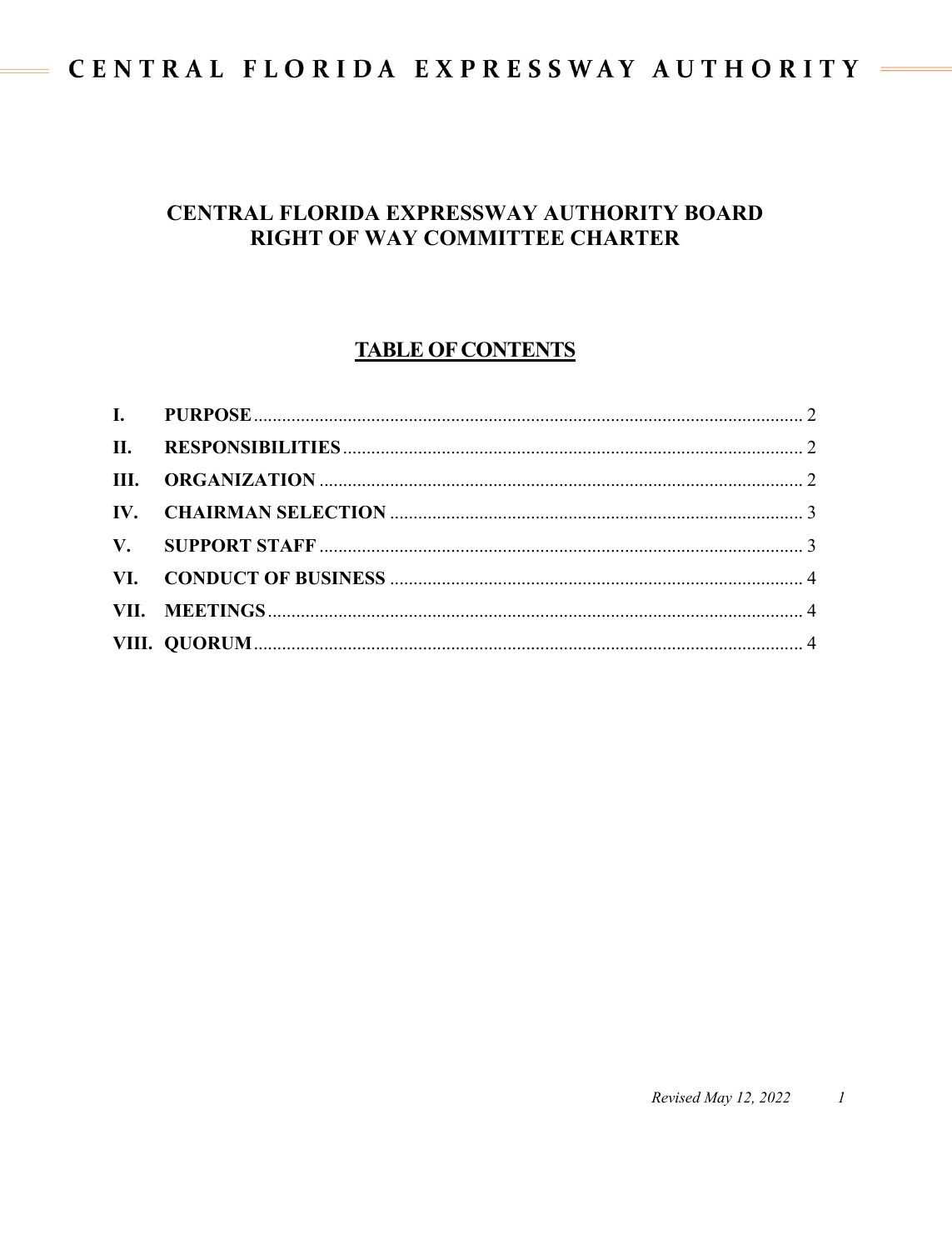# CENTRAL FLORIDA EXPRESSWAY AUTHORITY =

 $\equiv$ 

### CENTRAL FLORIDA EXPRESSWAY AUTHORITY BOARD RIGHT OF WAY COMMITTEE CHARTER

### **TABLE OF CONTENTS**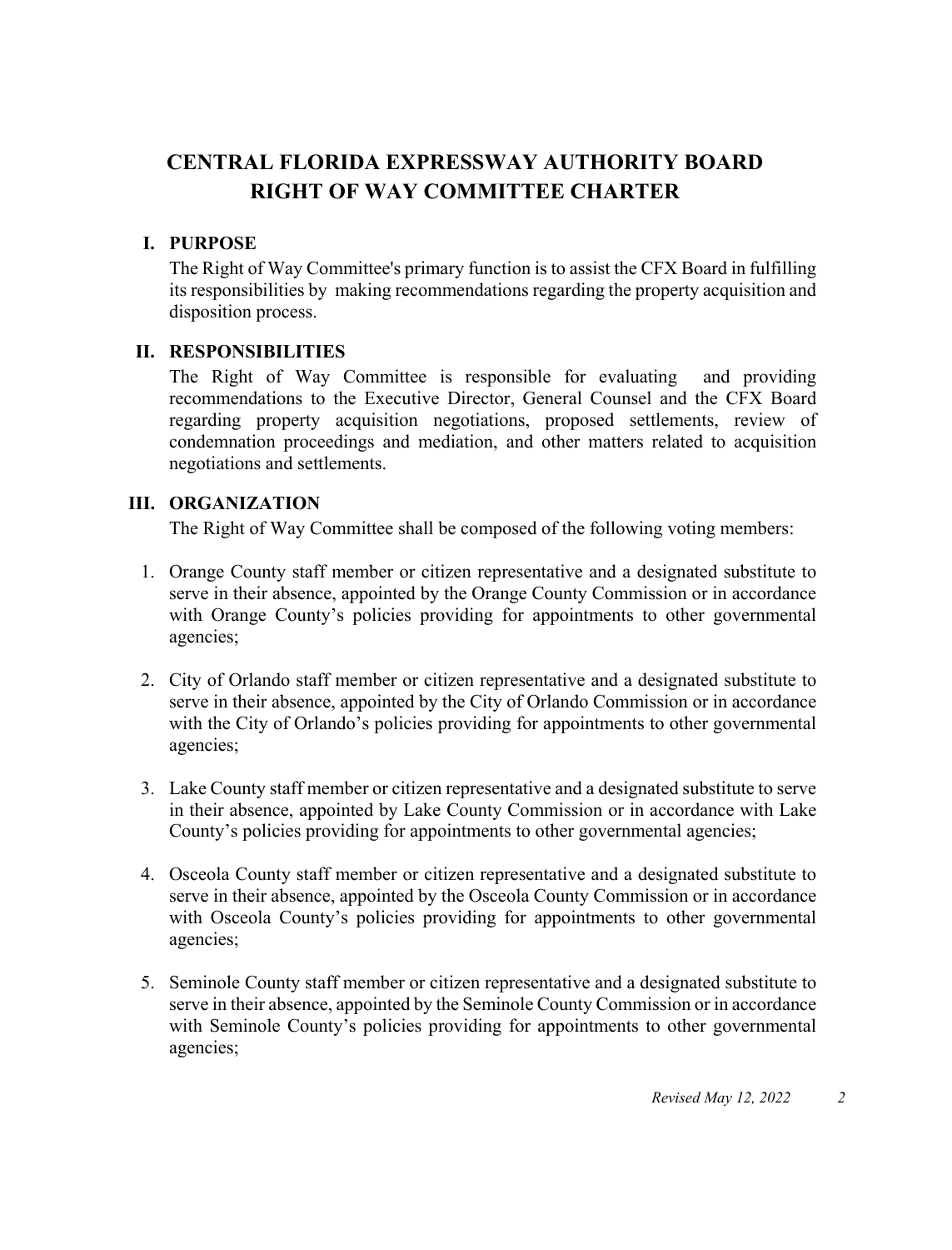## **CENTRAL FLORIDA EXPRESSWAY AUTHORITY BOARD RIGHT OF WAY COMMITTEE CHARTER**

#### <span id="page-1-0"></span>**I. PURPOSE**

The Right of Way Committee's primary function is to assist the CFX Board in fulfilling its responsibilities by making recommendations regarding the property acquisition and disposition process.

#### <span id="page-1-1"></span>**II. RESPONSIBILITIES**

The Right of Way Committee is responsible for evaluating and providing recommendations to the Executive Director, General Counsel and the CFX Board regarding property acquisition negotiations, proposed settlements, review of condemnation proceedings and mediation, and other matters related to acquisition negotiations and settlements.

#### <span id="page-1-2"></span>**III. ORGANIZATION**

The Right of Way Committee shall be composed of the following voting members:

- 1. Orange County staff member or citizen representative and a designated substitute to serve in their absence, appointed by the Orange County Commission or in accordance with Orange County's policies providing for appointments to other governmental agencies;
- 2. City of Orlando staff member or citizen representative and a designated substitute to serve in their absence, appointed by the City of Orlando Commission or in accordance with the City of Orlando's policies providing for appointments to other governmental agencies;
- 3. Lake County staff member or citizen representative and a designated substitute to serve in their absence, appointed by Lake County Commission or in accordance with Lake County's policies providing for appointments to other governmental agencies;
- 4. Osceola County staff member or citizen representative and a designated substitute to serve in their absence, appointed by the Osceola County Commission or in accordance with Osceola County's policies providing for appointments to other governmental agencies;
- 5. Seminole County staff member or citizen representative and a designated substitute to serve in their absence, appointed by the Seminole County Commission or in accordance with Seminole County's policies providing for appointments to other governmental agencies;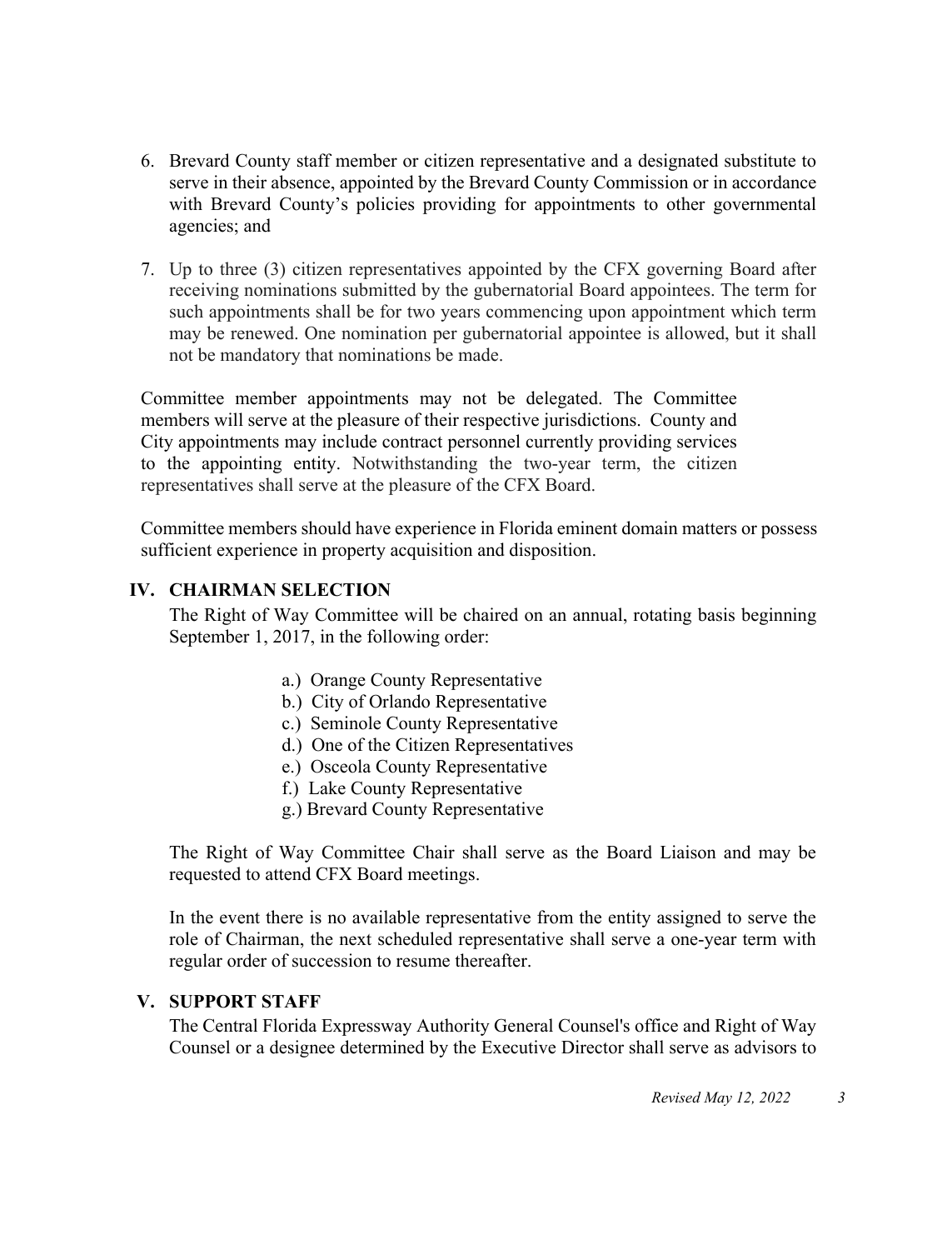- 6. Brevard County staff member or citizen representative and a designated substitute to serve in their absence, appointed by the Brevard County Commission or in accordance with Brevard County's policies providing for appointments to other governmental agencies; and
- 7. Up to three (3) citizen representatives appointed by the CFX governing Board after receiving nominations submitted by the gubernatorial Board appointees. The term for such appointments shall be for two years commencing upon appointment which term may be renewed. One nomination per gubernatorial appointee is allowed, but it shall not be mandatory that nominations be made.

Committee member appointments may not be delegated. The Committee members will serve at the pleasure of their respective jurisdictions. County and City appointments may include contract personnel currently providing services to the appointing entity. Notwithstanding the two-year term, the citizen representatives shall serve at the pleasure of the CFX Board.

Committee members should have experience in Florida eminent domain matters or possess sufficient experience in property acquisition and disposition.

#### <span id="page-2-0"></span>**IV. CHAIRMAN SELECTION**

The Right of Way Committee will be chaired on an annual, rotating basis beginning September 1, 2017, in the following order:

- a.) Orange County Representative
- b.) City of Orlando Representative
- c.) Seminole County Representative
- d.) One of the Citizen Representatives
- e.) Osceola County Representative
- f.) Lake County Representative
- g.) Brevard County Representative

The Right of Way Committee Chair shall serve as the Board Liaison and may be requested to attend CFX Board meetings.

In the event there is no available representative from the entity assigned to serve the role of Chairman, the next scheduled representative shall serve a one-year term with regular order of succession to resume thereafter.

#### <span id="page-2-1"></span>**V. SUPPORT STAFF**

The Central Florida Expressway Authority General Counsel's office and Right of Way Counsel or a designee determined by the Executive Director shall serve as advisors to